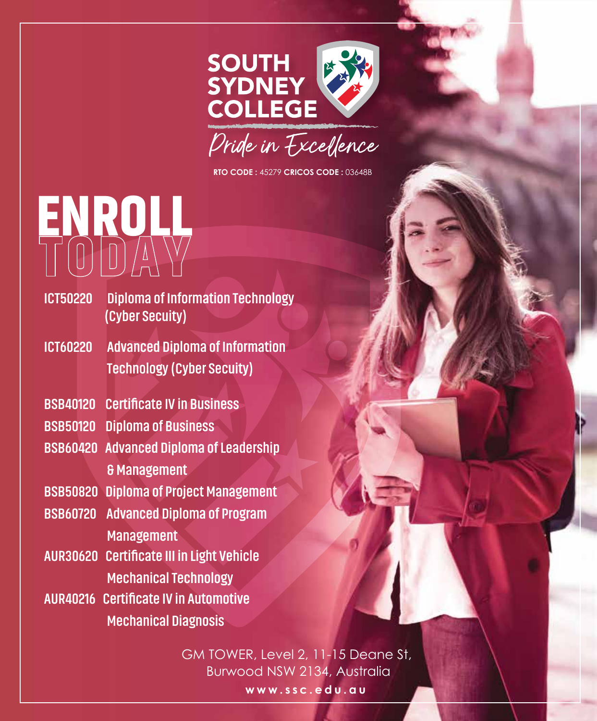



**RTO CODE :** 45279 **CRICOS CODE :** 03648B

## ENROLL

- **ICT50220 Diploma of Information Technology (Cyber Secuity)**
- **ICT60220 Advanced Diploma of Information Technology (Cyber Secuity)**
- **BSB40120 Certificate IV in Business**
- **BSB50120 Diploma of Business**
- **BSB60420 Advanced Diploma of Leadership & Management**
- **BSB50820 Diploma of Project Management**
- **BSB60720 Advanced Diploma of Program Management**
- **AUR30620 Certificate III in Light Vehicle Mechanical Technology**
- **AUR40216 Certificate IV in Automotive Mechanical Diagnosis**

GM TOWER, Level 2, 11-15 Deane St, Burwood NSW 2134, Australia **www.ssc.edu.au**